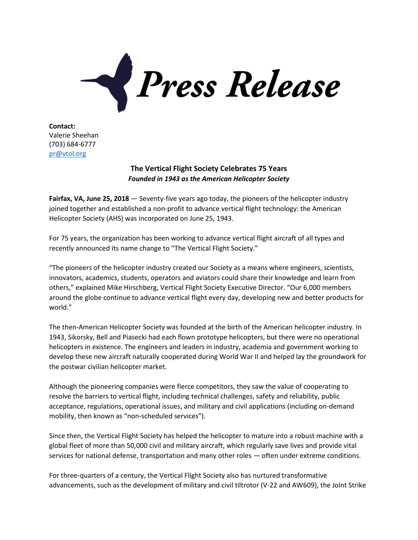

**Contact:** Valerie Sheehan (703) 684-6777 [pr@vtol.org](mailto:pr@vtol.org)

## **The Vertical Flight Society Celebrates 75 Years** *Founded in 1943 as the American Helicopter Society*

**Fairfax, VA, June 25, 2018** — Seventy-five years ago today, the pioneers of the helicopter industry joined together and established a non-profit to advance vertical flight technology: the American Helicopter Society (AHS) was incorporated on June 25, 1943.

For 75 years, the organization has been working to advance vertical flight aircraft of all types and recently announced its name change to "The Vertical Flight Society."

"The pioneers of the helicopter industry created our Society as a means where engineers, scientists, innovators, academics, students, operators and aviators could share their knowledge and learn from others," explained Mike Hirschberg, Vertical Flight Society Executive Director. "Our 6,000 members around the globe continue to advance vertical flight every day, developing new and better products for world."

The then-American Helicopter Society was founded at the birth of the American helicopter industry. In 1943, Sikorsky, Bell and Piasecki had each flown prototype helicopters, but there were no operational helicopters in existence. The engineers and leaders in industry, academia and government working to develop these new aircraft naturally cooperated during World War II and helped lay the groundwork for the postwar civilian helicopter market.

Although the pioneering companies were fierce competitors, they saw the value of cooperating to resolve the barriers to vertical flight, including technical challenges, safety and reliability, public acceptance, regulations, operational issues, and military and civil applications (including on-demand mobility, then known as "non-scheduled services").

Since then, the Vertical Flight Society has helped the helicopter to mature into a robust machine with a global fleet of more than 50,000 civil and military aircraft, which regularly save lives and provide vital services for national defense, transportation and many other roles — often under extreme conditions.

For three-quarters of a century, the Vertical Flight Society also has nurtured transformative advancements, such as the development of military and civil tiltrotor (V-22 and AW609), the Joint Strike